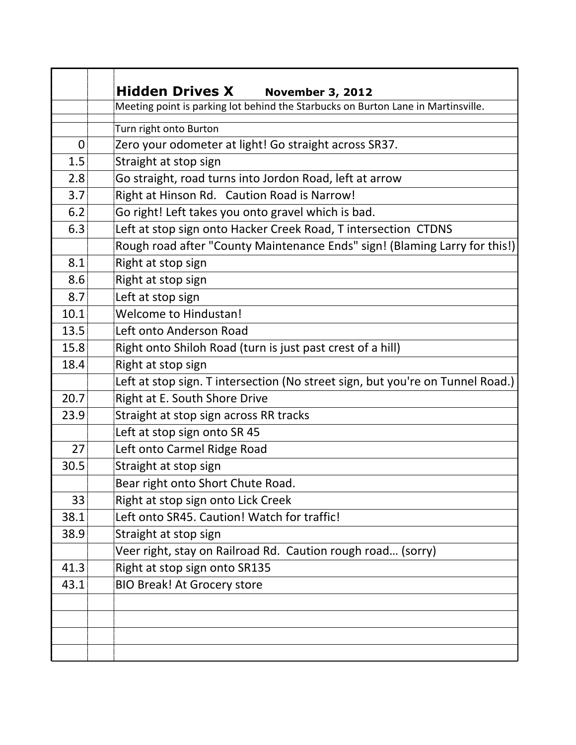|                | <b>Hidden Drives X</b><br><b>November 3, 2012</b>                                 |
|----------------|-----------------------------------------------------------------------------------|
|                | Meeting point is parking lot behind the Starbucks on Burton Lane in Martinsville. |
|                | Turn right onto Burton                                                            |
| $\overline{0}$ | Zero your odometer at light! Go straight across SR37.                             |
| 1.5            | Straight at stop sign                                                             |
| 2.8            | Go straight, road turns into Jordon Road, left at arrow                           |
| 3.7            | Right at Hinson Rd. Caution Road is Narrow!                                       |
| 6.2            | Go right! Left takes you onto gravel which is bad.                                |
| 6.3            | Left at stop sign onto Hacker Creek Road, T intersection CTDNS                    |
|                | Rough road after "County Maintenance Ends" sign! (Blaming Larry for this!)        |
| 8.1            | Right at stop sign                                                                |
| 8.6            | Right at stop sign                                                                |
| 8.7            | Left at stop sign                                                                 |
| 10.1           | <b>Welcome to Hindustan!</b>                                                      |
| 13.5           | Left onto Anderson Road                                                           |
| 15.8           | Right onto Shiloh Road (turn is just past crest of a hill)                        |
| 18.4           | Right at stop sign                                                                |
|                | Left at stop sign. T intersection (No street sign, but you're on Tunnel Road.)    |
| 20.7           | Right at E. South Shore Drive                                                     |
| 23.9           | Straight at stop sign across RR tracks                                            |
|                | Left at stop sign onto SR 45                                                      |
| 27             | Left onto Carmel Ridge Road                                                       |
| 30.5           | Straight at stop sign                                                             |
|                | Bear right onto Short Chute Road.                                                 |
| 33             | Right at stop sign onto Lick Creek                                                |
| 38.1           | Left onto SR45. Caution! Watch for traffic!                                       |
| 38.9           | Straight at stop sign                                                             |
|                | Veer right, stay on Railroad Rd. Caution rough road (sorry)                       |
| 41.3           | Right at stop sign onto SR135                                                     |
| 43.1           | <b>BIO Break! At Grocery store</b>                                                |
|                |                                                                                   |
|                |                                                                                   |
|                |                                                                                   |
|                |                                                                                   |